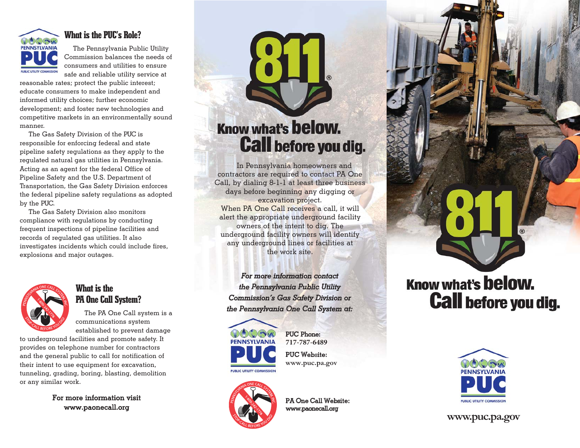

#### **What is the PUC's Role?**

The Pennsylvania Public Utility Commission balances the needs of consumers and utilities to ensure safe and reliable utility service at

reasonable rates; protect the public interest; educate consumers to make independent and informed utility choices; further economic development; and foster new technologies and competitive markets in an environmentally sound manner.

The Gas Safety Division of the PUC is responsible for enforcing federal and state pipeline safety regulations as they apply to the regulated natural gas utilities in Pennsylvania. Acting as an agent for the federal Office of Pipeline Safety and the U.S. Department of Transportation, the Gas Safety Division enforces the federal pipeline safety regulations as adopted by the PUC.

The Gas Safety Division also monitors compliance with regulations by conducting frequent inspections of pipeline facilities and records of regulated gas utilities. It also investigates incidents which could include fires, explosions and major outages.



#### **What is the PA One Call System?**

The PA One Call system is a communications system established to prevent damage

to underground facilities and promote safety. It provides on telephone number for contractors and the general public to call for notification of their intent to use equipment for excavation, tunneling, grading, boring, blasting, demolition or any similar work.

> For more information visit www.paonecall.org

### **Know what's below. Call before you dig.**

In Pennsylvania homeowners and contractors are required to contact PA One Call, by dialing 8-1-1 at least three business days before beginning any digging or excavation project. When PA One Call receives a call, it will alert the appropriate underground facility owners of the intent to dig. The underground facility owners will identify any underground lines or facilities at the work site.

*For more information contact the Pennsylvania Public Utility Commission's Gas Safety Division or the Pennsylvania One Call System at:*



PUC Phone: **717-787-6489** PUC Website:

**www.puc.pa.gov**



PA One Call Website: www.paonecall.org

# **Know what's below. Call before you dig.**



**www.puc.pa.gov**